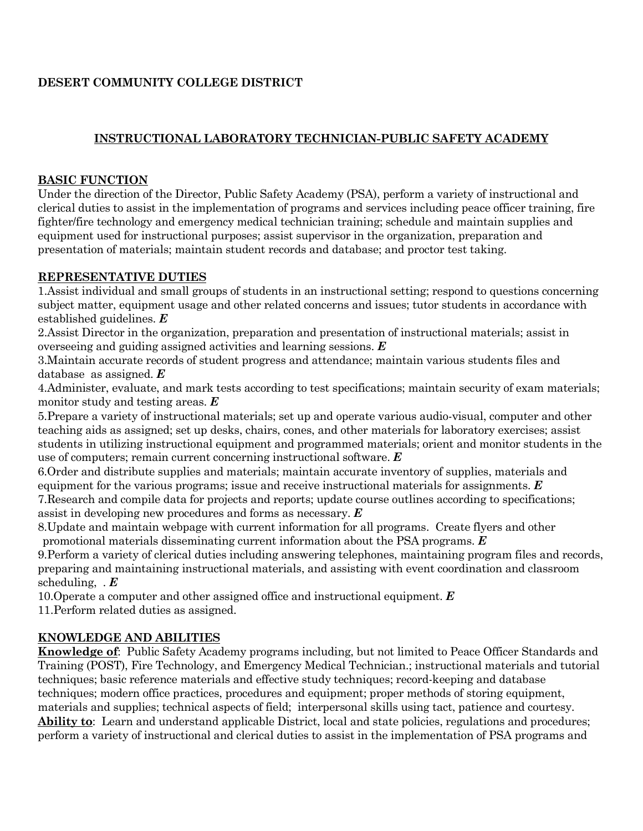# **DESERT COMMUNITY COLLEGE DISTRICT**

# **INSTRUCTIONAL LABORATORY TECHNICIAN-PUBLIC SAFETY ACADEMY**

#### **BASIC FUNCTION**

Under the direction of the Director, Public Safety Academy (PSA), perform a variety of instructional and clerical duties to assist in the implementation of programs and services including peace officer training, fire fighter/fire technology and emergency medical technician training; schedule and maintain supplies and equipment used for instructional purposes; assist supervisor in the organization, preparation and presentation of materials; maintain student records and database; and proctor test taking.

### **REPRESENTATIVE DUTIES**

1.Assist individual and small groups of students in an instructional setting; respond to questions concerning subject matter, equipment usage and other related concerns and issues; tutor students in accordance with established guidelines. *E*

2.Assist Director in the organization, preparation and presentation of instructional materials; assist in overseeing and guiding assigned activities and learning sessions. *E*

3.Maintain accurate records of student progress and attendance; maintain various students files and database as assigned. *E*

4.Administer, evaluate, and mark tests according to test specifications; maintain security of exam materials; monitor study and testing areas. *E*

5.Prepare a variety of instructional materials; set up and operate various audio-visual, computer and other teaching aids as assigned; set up desks, chairs, cones, and other materials for laboratory exercises; assist students in utilizing instructional equipment and programmed materials; orient and monitor students in the use of computers; remain current concerning instructional software. *E*

6.Order and distribute supplies and materials; maintain accurate inventory of supplies, materials and equipment for the various programs; issue and receive instructional materials for assignments. *E* 7.Research and compile data for projects and reports; update course outlines according to specifications; assist in developing new procedures and forms as necessary. *E*

8.Update and maintain webpage with current information for all programs. Create flyers and other promotional materials disseminating current information about the PSA programs. *E*

9.Perform a variety of clerical duties including answering telephones, maintaining program files and records, preparing and maintaining instructional materials, and assisting with event coordination and classroom scheduling, . *E*

10.Operate a computer and other assigned office and instructional equipment. *E*

11.Perform related duties as assigned.

### **KNOWLEDGE AND ABILITIES**

**Knowledge of**: Public Safety Academy programs including, but not limited to Peace Officer Standards and Training (POST), Fire Technology, and Emergency Medical Technician.; instructional materials and tutorial techniques; basic reference materials and effective study techniques; record-keeping and database techniques; modern office practices, procedures and equipment; proper methods of storing equipment, materials and supplies; technical aspects of field; interpersonal skills using tact, patience and courtesy. **Ability to**: Learn and understand applicable District, local and state policies, regulations and procedures; perform a variety of instructional and clerical duties to assist in the implementation of PSA programs and